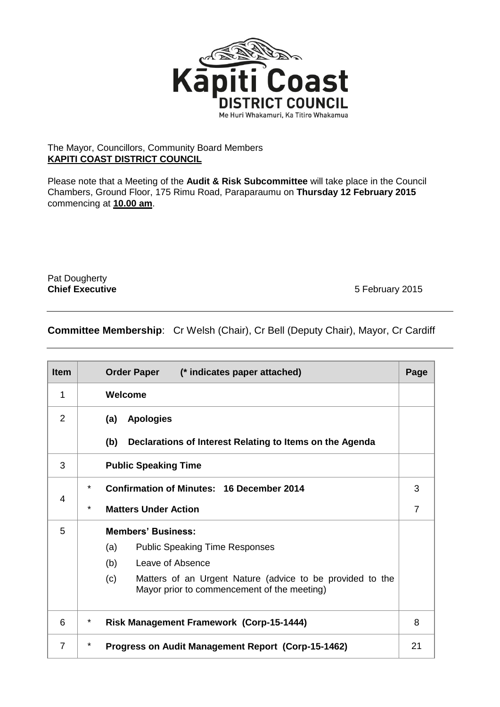

## The Mayor, Councillors, Community Board Members **KAPITI COAST DISTRICT COUNCIL**

Please note that a Meeting of the **Audit & Risk Subcommittee** will take place in the Council Chambers, Ground Floor, 175 Rimu Road, Paraparaumu on **Thursday 12 February 2015** commencing at **10.00 am**.

Pat Dougherty

**Chief Executive** 5 February 2015

## **Committee Membership**: Cr Welsh (Chair), Cr Bell (Deputy Chair), Mayor, Cr Cardiff

| <b>Item</b>    | Order Paper (* indicates paper attached)                                                                        | Page           |  |  |
|----------------|-----------------------------------------------------------------------------------------------------------------|----------------|--|--|
| 1              | Welcome                                                                                                         |                |  |  |
| 2              | <b>Apologies</b><br>(a)                                                                                         |                |  |  |
|                | (b)<br>Declarations of Interest Relating to Items on the Agenda                                                 |                |  |  |
| 3              | <b>Public Speaking Time</b>                                                                                     |                |  |  |
| 4              | $^\star$<br><b>Confirmation of Minutes: 16 December 2014</b>                                                    | 3              |  |  |
|                | $\star$<br><b>Matters Under Action</b>                                                                          | $\overline{7}$ |  |  |
| 5              | <b>Members' Business:</b>                                                                                       |                |  |  |
|                | (a)<br><b>Public Speaking Time Responses</b>                                                                    |                |  |  |
|                | Leave of Absence<br>(b)                                                                                         |                |  |  |
|                | (c)<br>Matters of an Urgent Nature (advice to be provided to the<br>Mayor prior to commencement of the meeting) |                |  |  |
| 6              | $\star$<br><b>Risk Management Framework (Corp-15-1444)</b>                                                      |                |  |  |
| $\overline{7}$ | *<br>Progress on Audit Management Report (Corp-15-1462)                                                         | 21             |  |  |